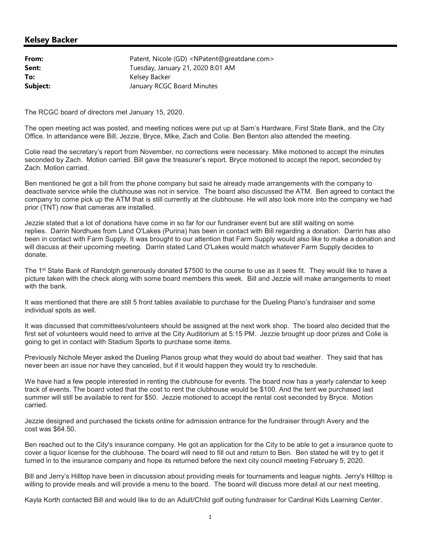## Kelsey Backer

| From:    | Patent, Nicole (GD) <npatent@greatdane.com></npatent@greatdane.com> |
|----------|---------------------------------------------------------------------|
| Sent:    | Tuesday, January 21, 2020 8:01 AM                                   |
| To:      | Kelsey Backer                                                       |
| Subject: | January RCGC Board Minutes                                          |

The RCGC board of directors met January 15, 2020.

The open meeting act was posted, and meeting notices were put up at Sam's Hardware, First State Bank, and the City Office. In attendance were Bill, Jezzie, Bryce, Mike, Zach and Colie. Ben Benton also attended the meeting.

Colie read the secretary's report from November, no corrections were necessary. Mike motioned to accept the minutes seconded by Zach. Motion carried. Bill gave the treasurer's report. Bryce motioned to accept the report, seconded by Zach. Motion carried.

Ben mentioned he got a bill from the phone company but said he already made arrangements with the company to deactivate service while the clubhouse was not in service. The board also discussed the ATM. Ben agreed to contact the company to come pick up the ATM that is still currently at the clubhouse. He will also look more into the company we had prior (TNT) now that cameras are installed.

Jezzie stated that a lot of donations have come in so far for our fundraiser event but are still waiting on some replies. Darrin Nordhues from Land O'Lakes (Purina) has been in contact with Bill regarding a donation. Darrin has also been in contact with Farm Supply. It was brought to our attention that Farm Supply would also like to make a donation and will discuss at their upcoming meeting. Darrin stated Land O'Lakes would match whatever Farm Supply decides to donate.

The 1<sup>st</sup> State Bank of Randolph generously donated \$7500 to the course to use as it sees fit. They would like to have a picture taken with the check along with some board members this week. Bill and Jezzie will make arrangements to meet with the bank.

It was mentioned that there are still 5 front tables available to purchase for the Dueling Piano's fundraiser and some individual spots as well.

It was discussed that committees/volunteers should be assigned at the next work shop. The board also decided that the first set of volunteers would need to arrive at the City Auditorium at 5:15 PM. Jezzie brought up door prizes and Colie is going to get in contact with Stadium Sports to purchase some items.

Previously Nichole Meyer asked the Dueling Pianos group what they would do about bad weather. They said that has never been an issue nor have they canceled, but if it would happen they would try to reschedule.

We have had a few people interested in renting the clubhouse for events. The board now has a yearly calendar to keep track of events. The board voted that the cost to rent the clubhouse would be \$100. And the tent we purchased last summer will still be available to rent for \$50. Jezzie motioned to accept the rental cost seconded by Bryce. Motion carried.

Jezzie designed and purchased the tickets online for admission entrance for the fundraiser through Avery and the cost was \$64.50.

Ben reached out to the City's insurance company. He got an application for the City to be able to get a insurance quote to cover a liquor license for the clubhouse. The board will need to fill out and return to Ben. Ben stated he will try to get it turned in to the insurance company and hope its returned before the next city council meeting February 5, 2020.

Bill and Jerry's Hilltop have been in discussion about providing meals for tournaments and league nights. Jerry's Hilltop is willing to provide meals and will provide a menu to the board. The board will discuss more detail at our next meeting.

Kayla Korth contacted Bill and would like to do an Adult/Child golf outing fundraiser for Cardinal Kids Learning Center.